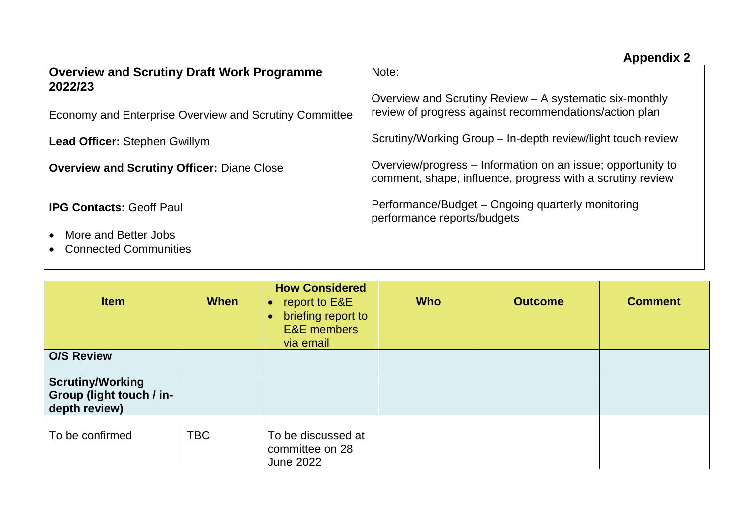## **Appendix 2**

| <b>Overview and Scrutiny Draft Work Programme</b><br>2022/23 | Note:<br>Overview and Scrutiny Review - A systematic six-monthly                                                          |
|--------------------------------------------------------------|---------------------------------------------------------------------------------------------------------------------------|
| Economy and Enterprise Overview and Scrutiny Committee       | review of progress against recommendations/action plan                                                                    |
| <b>Lead Officer: Stephen Gwillym</b>                         | Scrutiny/Working Group - In-depth review/light touch review                                                               |
| <b>Overview and Scrutiny Officer: Diane Close</b>            | Overview/progress - Information on an issue; opportunity to<br>comment, shape, influence, progress with a scrutiny review |
| <b>IPG Contacts: Geoff Paul</b>                              | Performance/Budget – Ongoing quarterly monitoring<br>performance reports/budgets                                          |
| More and Better Jobs<br><b>Connected Communities</b>         |                                                                                                                           |

| <b>Item</b>                                                          | <b>When</b> | <b>How Considered</b><br>report to E&E<br>$\bullet$<br>briefing report to<br>$\bullet$<br><b>E&amp;E</b> members<br>via email | <b>Who</b> | <b>Outcome</b> | <b>Comment</b> |
|----------------------------------------------------------------------|-------------|-------------------------------------------------------------------------------------------------------------------------------|------------|----------------|----------------|
| <b>O/S Review</b>                                                    |             |                                                                                                                               |            |                |                |
| <b>Scrutiny/Working</b><br>Group (light touch / in-<br>depth review) |             |                                                                                                                               |            |                |                |
| To be confirmed                                                      | <b>TBC</b>  | To be discussed at<br>committee on 28<br><b>June 2022</b>                                                                     |            |                |                |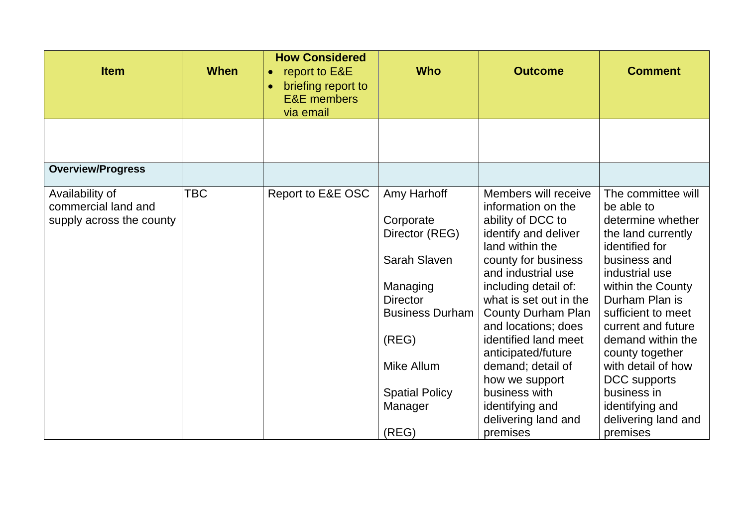| <b>Item</b>                                                        | <b>When</b> | <b>How Considered</b><br>report to E&E<br>$\bullet$<br>briefing report to<br><b>E&amp;E</b> members<br>via email | <b>Who</b>                                                                                                                                                                              | <b>Outcome</b>                                                                                                                                                                                                                                                                                                                                                                                                            | <b>Comment</b>                                                                                                                                                                                                                                                                                                                                                        |
|--------------------------------------------------------------------|-------------|------------------------------------------------------------------------------------------------------------------|-----------------------------------------------------------------------------------------------------------------------------------------------------------------------------------------|---------------------------------------------------------------------------------------------------------------------------------------------------------------------------------------------------------------------------------------------------------------------------------------------------------------------------------------------------------------------------------------------------------------------------|-----------------------------------------------------------------------------------------------------------------------------------------------------------------------------------------------------------------------------------------------------------------------------------------------------------------------------------------------------------------------|
|                                                                    |             |                                                                                                                  |                                                                                                                                                                                         |                                                                                                                                                                                                                                                                                                                                                                                                                           |                                                                                                                                                                                                                                                                                                                                                                       |
| <b>Overview/Progress</b>                                           |             |                                                                                                                  |                                                                                                                                                                                         |                                                                                                                                                                                                                                                                                                                                                                                                                           |                                                                                                                                                                                                                                                                                                                                                                       |
| Availability of<br>commercial land and<br>supply across the county | TBC         | Report to E&E OSC                                                                                                | Amy Harhoff<br>Corporate<br>Director (REG)<br>Sarah Slaven<br>Managing<br><b>Director</b><br><b>Business Durham</b><br>(REG)<br>Mike Allum<br><b>Spatial Policy</b><br>Manager<br>(REG) | Members will receive<br>information on the<br>ability of DCC to<br>identify and deliver<br>land within the<br>county for business<br>and industrial use<br>including detail of:<br>what is set out in the<br><b>County Durham Plan</b><br>and locations; does<br>identified land meet<br>anticipated/future<br>demand; detail of<br>how we support<br>business with<br>identifying and<br>delivering land and<br>premises | The committee will<br>be able to<br>determine whether<br>the land currently<br>identified for<br>business and<br>industrial use<br>within the County<br>Durham Plan is<br>sufficient to meet<br>current and future<br>demand within the<br>county together<br>with detail of how<br>DCC supports<br>business in<br>identifying and<br>delivering land and<br>premises |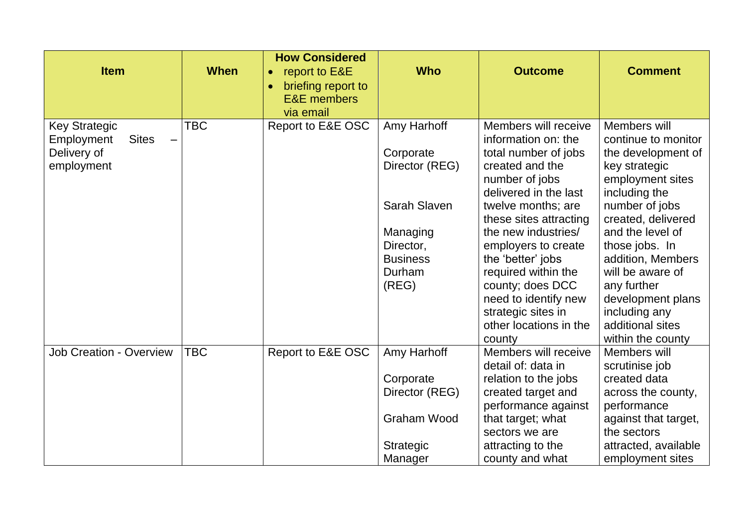| <b>Item</b>                                                                     | <b>When</b> | <b>How Considered</b><br>report to E&E<br>$\bullet$<br>briefing report to<br>$\bullet$<br><b>E&amp;E</b> members<br>via email | <b>Who</b>                                 | <b>Outcome</b>                                                                                           | <b>Comment</b>                                                                                 |
|---------------------------------------------------------------------------------|-------------|-------------------------------------------------------------------------------------------------------------------------------|--------------------------------------------|----------------------------------------------------------------------------------------------------------|------------------------------------------------------------------------------------------------|
| <b>Key Strategic</b><br><b>Sites</b><br>Employment<br>Delivery of<br>employment | <b>TBC</b>  | Report to E&E OSC                                                                                                             | Amy Harhoff<br>Corporate<br>Director (REG) | Members will receive<br>information on: the<br>total number of jobs<br>created and the<br>number of jobs | Members will<br>continue to monitor<br>the development of<br>key strategic<br>employment sites |
|                                                                                 |             |                                                                                                                               | <b>Sarah Slaven</b><br>Managing            | delivered in the last<br>twelve months; are<br>these sites attracting<br>the new industries/             | including the<br>number of jobs<br>created, delivered<br>and the level of                      |
|                                                                                 |             |                                                                                                                               | Director,<br><b>Business</b><br>Durham     | employers to create<br>the 'better' jobs<br>required within the                                          | those jobs. In<br>addition, Members<br>will be aware of                                        |
|                                                                                 |             |                                                                                                                               | (REG)                                      | county; does DCC<br>need to identify new<br>strategic sites in<br>other locations in the<br>county       | any further<br>development plans<br>including any<br>additional sites<br>within the county     |
| <b>Job Creation - Overview</b>                                                  | TBC         | Report to E&E OSC                                                                                                             | Amy Harhoff                                | Members will receive<br>detail of: data in                                                               | Members will<br>scrutinise job                                                                 |
|                                                                                 |             |                                                                                                                               | Corporate<br>Director (REG)                | relation to the jobs<br>created target and<br>performance against                                        | created data<br>across the county,<br>performance                                              |
|                                                                                 |             |                                                                                                                               | <b>Graham Wood</b>                         | that target; what<br>sectors we are                                                                      | against that target,<br>the sectors                                                            |
|                                                                                 |             |                                                                                                                               | <b>Strategic</b><br>Manager                | attracting to the<br>county and what                                                                     | attracted, available<br>employment sites                                                       |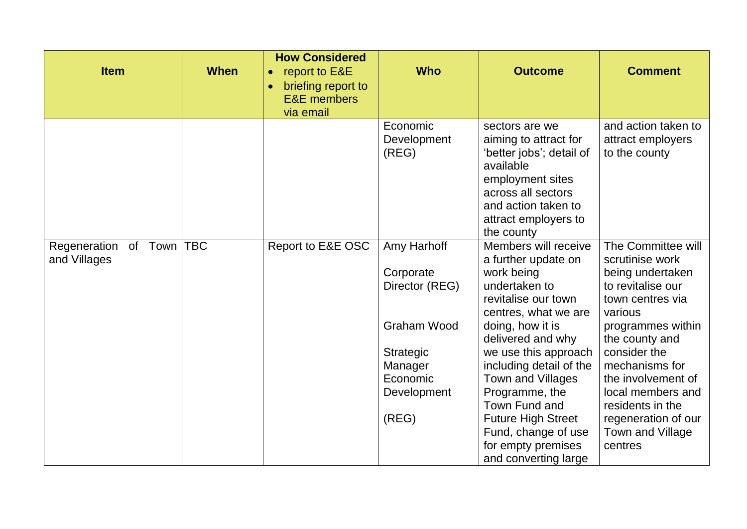| <b>Item</b>                          | <b>When</b> | <b>How Considered</b><br>report to E&E<br>$\bullet$<br>briefing report to<br>$\bullet$<br><b>E&amp;E</b> members<br>via email | <b>Who</b>                                                       | <b>Outcome</b>                                                                                                                                                                                            | <b>Comment</b>                                                                                                                                       |
|--------------------------------------|-------------|-------------------------------------------------------------------------------------------------------------------------------|------------------------------------------------------------------|-----------------------------------------------------------------------------------------------------------------------------------------------------------------------------------------------------------|------------------------------------------------------------------------------------------------------------------------------------------------------|
|                                      |             |                                                                                                                               | Economic<br>Development<br>(REG)                                 | sectors are we<br>aiming to attract for<br>'better jobs'; detail of<br>available<br>employment sites<br>across all sectors<br>and action taken to<br>attract employers to<br>the county                   | and action taken to<br>attract employers<br>to the county                                                                                            |
| Regeneration of Town<br>and Villages | <b>TBC</b>  | Report to E&E OSC                                                                                                             | Amy Harhoff<br>Corporate<br>Director (REG)<br><b>Graham Wood</b> | Members will receive<br>a further update on<br>work being<br>undertaken to<br>revitalise our town<br>centres, what we are<br>doing, how it is<br>delivered and why                                        | The Committee will<br>scrutinise work<br>being undertaken<br>to revitalise our<br>town centres via<br>various<br>programmes within<br>the county and |
|                                      |             |                                                                                                                               | Strategic<br>Manager<br>Economic<br>Development<br>(REG)         | we use this approach<br>including detail of the<br>Town and Villages<br>Programme, the<br>Town Fund and<br><b>Future High Street</b><br>Fund, change of use<br>for empty premises<br>and converting large | consider the<br>mechanisms for<br>the involvement of<br>local members and<br>residents in the<br>regeneration of our<br>Town and Village<br>centres  |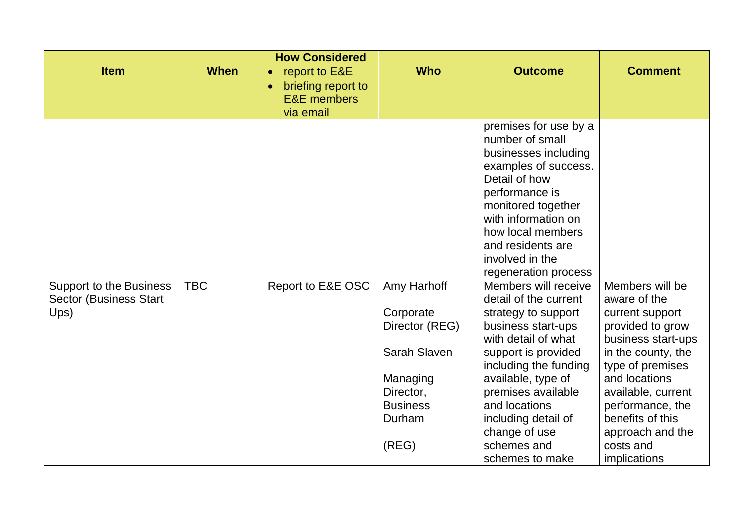| <b>Item</b>                                                             | <b>When</b> | <b>How Considered</b><br>report to E&E<br>$\bullet$<br>briefing report to<br>$\bullet$<br><b>E&amp;E</b> members<br>via email | <b>Who</b>                                                                                                                | <b>Outcome</b>                                                                                                                                                                                                                                                                                           | <b>Comment</b>                                                                                                                                                                                                                                                         |
|-------------------------------------------------------------------------|-------------|-------------------------------------------------------------------------------------------------------------------------------|---------------------------------------------------------------------------------------------------------------------------|----------------------------------------------------------------------------------------------------------------------------------------------------------------------------------------------------------------------------------------------------------------------------------------------------------|------------------------------------------------------------------------------------------------------------------------------------------------------------------------------------------------------------------------------------------------------------------------|
|                                                                         |             |                                                                                                                               |                                                                                                                           | premises for use by a<br>number of small<br>businesses including<br>examples of success.<br>Detail of how<br>performance is<br>monitored together<br>with information on<br>how local members<br>and residents are<br>involved in the<br>regeneration process                                            |                                                                                                                                                                                                                                                                        |
| <b>Support to the Business</b><br><b>Sector (Business Start</b><br>Ups) | TBC         | Report to E&E OSC                                                                                                             | Amy Harhoff<br>Corporate<br>Director (REG)<br>Sarah Slaven<br>Managing<br>Director,<br><b>Business</b><br>Durham<br>(REG) | Members will receive<br>detail of the current<br>strategy to support<br>business start-ups<br>with detail of what<br>support is provided<br>including the funding<br>available, type of<br>premises available<br>and locations<br>including detail of<br>change of use<br>schemes and<br>schemes to make | Members will be<br>aware of the<br>current support<br>provided to grow<br>business start-ups<br>in the county, the<br>type of premises<br>and locations<br>available, current<br>performance, the<br>benefits of this<br>approach and the<br>costs and<br>implications |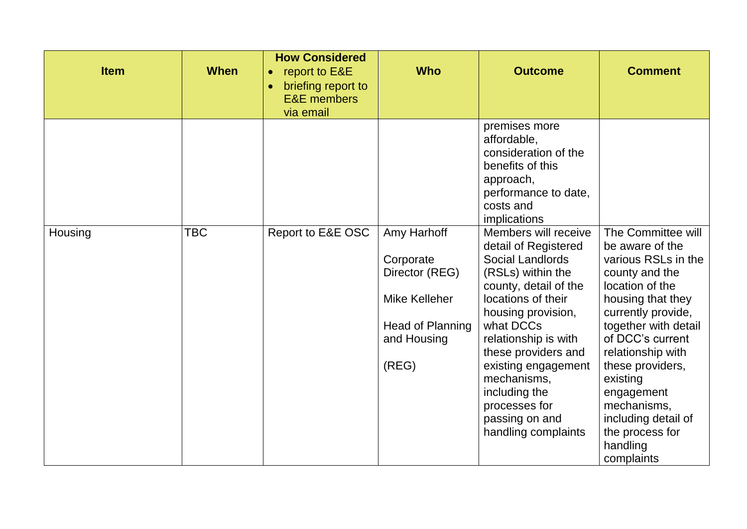| <b>Item</b> | <b>When</b> | <b>How Considered</b><br>report to E&E<br>$\bullet$<br>briefing report to<br>$\bullet$<br><b>E&amp;E</b> members<br>via email | <b>Who</b>                                                                                                     | <b>Outcome</b>                                                                                                                                                                                                                                                                                                                                 | <b>Comment</b>                                                                                                                                                                                                                                                                                                                                 |
|-------------|-------------|-------------------------------------------------------------------------------------------------------------------------------|----------------------------------------------------------------------------------------------------------------|------------------------------------------------------------------------------------------------------------------------------------------------------------------------------------------------------------------------------------------------------------------------------------------------------------------------------------------------|------------------------------------------------------------------------------------------------------------------------------------------------------------------------------------------------------------------------------------------------------------------------------------------------------------------------------------------------|
|             |             |                                                                                                                               |                                                                                                                | premises more<br>affordable,<br>consideration of the<br>benefits of this<br>approach,<br>performance to date,<br>costs and<br>implications                                                                                                                                                                                                     |                                                                                                                                                                                                                                                                                                                                                |
| Housing     | <b>TBC</b>  | Report to E&E OSC                                                                                                             | Amy Harhoff<br>Corporate<br>Director (REG)<br>Mike Kelleher<br><b>Head of Planning</b><br>and Housing<br>(REG) | Members will receive<br>detail of Registered<br><b>Social Landlords</b><br>(RSLs) within the<br>county, detail of the<br>locations of their<br>housing provision,<br>what DCCs<br>relationship is with<br>these providers and<br>existing engagement<br>mechanisms,<br>including the<br>processes for<br>passing on and<br>handling complaints | The Committee will<br>be aware of the<br>various RSLs in the<br>county and the<br>location of the<br>housing that they<br>currently provide,<br>together with detail<br>of DCC's current<br>relationship with<br>these providers,<br>existing<br>engagement<br>mechanisms,<br>including detail of<br>the process for<br>handling<br>complaints |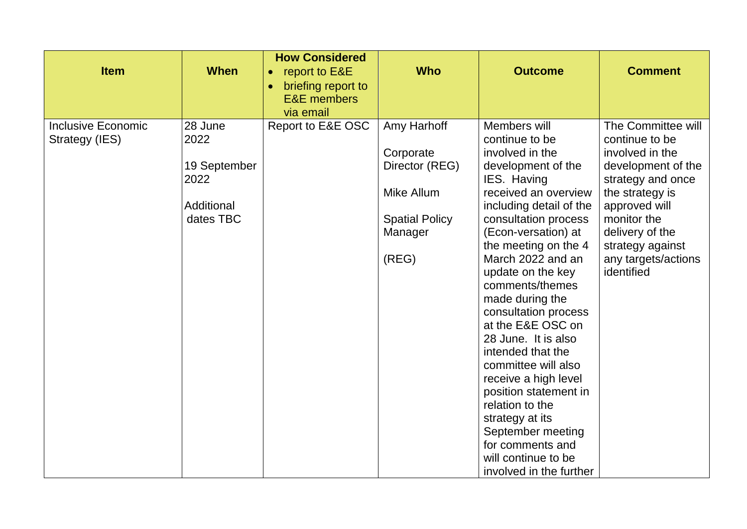| <b>Item</b>                                 | <b>When</b>                                                        | <b>How Considered</b><br>report to E&E<br>$\bullet$<br>briefing report to<br>$\bullet$<br><b>E&amp;E</b> members<br>via email | <b>Who</b>                                                                                            | <b>Outcome</b>                                                                                                                                                                                                                                                                                                                                                                                                                                                                                                                                                                                     | <b>Comment</b>                                                                                                                                                                                                                    |
|---------------------------------------------|--------------------------------------------------------------------|-------------------------------------------------------------------------------------------------------------------------------|-------------------------------------------------------------------------------------------------------|----------------------------------------------------------------------------------------------------------------------------------------------------------------------------------------------------------------------------------------------------------------------------------------------------------------------------------------------------------------------------------------------------------------------------------------------------------------------------------------------------------------------------------------------------------------------------------------------------|-----------------------------------------------------------------------------------------------------------------------------------------------------------------------------------------------------------------------------------|
| <b>Inclusive Economic</b><br>Strategy (IES) | 28 June<br>2022<br>19 September<br>2022<br>Additional<br>dates TBC | Report to E&E OSC                                                                                                             | Amy Harhoff<br>Corporate<br>Director (REG)<br>Mike Allum<br><b>Spatial Policy</b><br>Manager<br>(REG) | Members will<br>continue to be<br>involved in the<br>development of the<br>IES. Having<br>received an overview<br>including detail of the<br>consultation process<br>(Econ-versation) at<br>the meeting on the 4<br>March 2022 and an<br>update on the key<br>comments/themes<br>made during the<br>consultation process<br>at the E&E OSC on<br>28 June. It is also<br>intended that the<br>committee will also<br>receive a high level<br>position statement in<br>relation to the<br>strategy at its<br>September meeting<br>for comments and<br>will continue to be<br>involved in the further | The Committee will<br>continue to be<br>involved in the<br>development of the<br>strategy and once<br>the strategy is<br>approved will<br>monitor the<br>delivery of the<br>strategy against<br>any targets/actions<br>identified |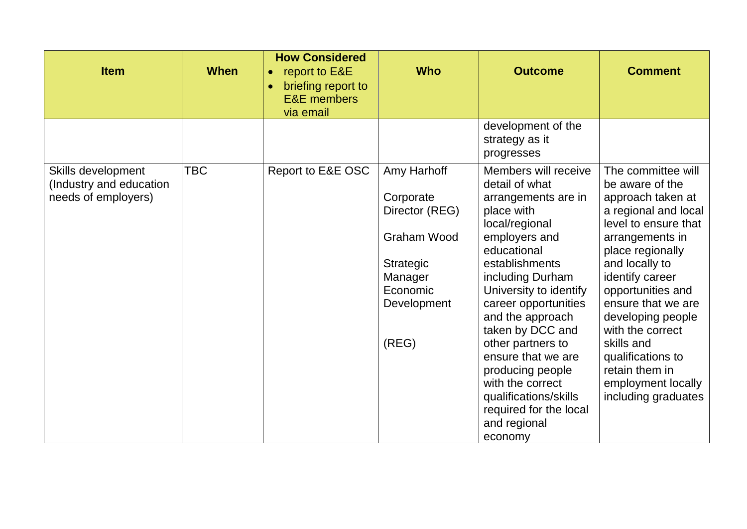| <b>Item</b>                                                          | <b>When</b> | <b>How Considered</b><br>report to E&E<br>$\bullet$<br>briefing report to<br><b>E&amp;E</b> members<br>via email | <b>Who</b>                                                                                                                   | <b>Outcome</b>                                                                                                                                                                                                                                                                                                                                                                                                                 | <b>Comment</b>                                                                                                                                                                                                                                                                                                                                                               |
|----------------------------------------------------------------------|-------------|------------------------------------------------------------------------------------------------------------------|------------------------------------------------------------------------------------------------------------------------------|--------------------------------------------------------------------------------------------------------------------------------------------------------------------------------------------------------------------------------------------------------------------------------------------------------------------------------------------------------------------------------------------------------------------------------|------------------------------------------------------------------------------------------------------------------------------------------------------------------------------------------------------------------------------------------------------------------------------------------------------------------------------------------------------------------------------|
|                                                                      |             |                                                                                                                  |                                                                                                                              | development of the<br>strategy as it<br>progresses                                                                                                                                                                                                                                                                                                                                                                             |                                                                                                                                                                                                                                                                                                                                                                              |
| Skills development<br>(Industry and education<br>needs of employers) | <b>TBC</b>  | Report to E&E OSC                                                                                                | Amy Harhoff<br>Corporate<br>Director (REG)<br><b>Graham Wood</b><br>Strategic<br>Manager<br>Economic<br>Development<br>(REG) | Members will receive<br>detail of what<br>arrangements are in<br>place with<br>local/regional<br>employers and<br>educational<br>establishments<br>including Durham<br>University to identify<br>career opportunities<br>and the approach<br>taken by DCC and<br>other partners to<br>ensure that we are<br>producing people<br>with the correct<br>qualifications/skills<br>required for the local<br>and regional<br>economy | The committee will<br>be aware of the<br>approach taken at<br>a regional and local<br>level to ensure that<br>arrangements in<br>place regionally<br>and locally to<br>identify career<br>opportunities and<br>ensure that we are<br>developing people<br>with the correct<br>skills and<br>qualifications to<br>retain them in<br>employment locally<br>including graduates |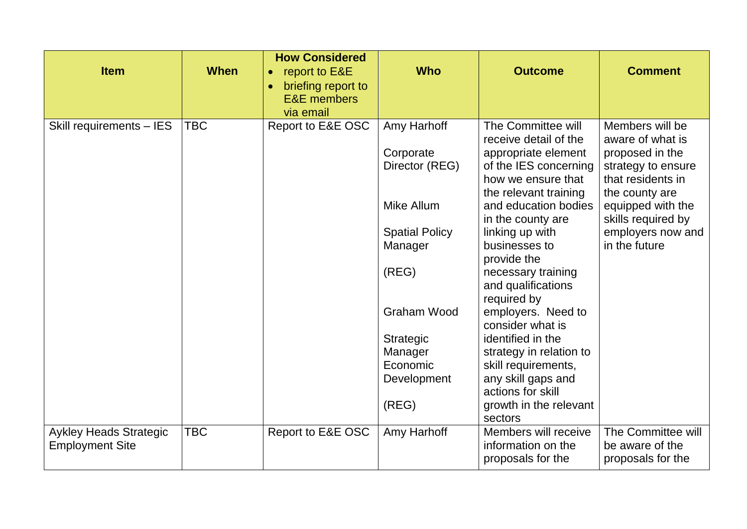| <b>Item</b>                                             | <b>When</b> | <b>How Considered</b><br>report to E&E<br>briefing report to<br><b>E&amp;E</b> members<br>via email | <b>Who</b>                                                                                   | <b>Outcome</b>                                                                                                                                                                                                              | <b>Comment</b>                                                                                                                                                                                       |
|---------------------------------------------------------|-------------|-----------------------------------------------------------------------------------------------------|----------------------------------------------------------------------------------------------|-----------------------------------------------------------------------------------------------------------------------------------------------------------------------------------------------------------------------------|------------------------------------------------------------------------------------------------------------------------------------------------------------------------------------------------------|
| Skill requirements - IES                                | <b>TBC</b>  | Report to E&E OSC                                                                                   | Amy Harhoff<br>Corporate<br>Director (REG)<br>Mike Allum<br><b>Spatial Policy</b><br>Manager | The Committee will<br>receive detail of the<br>appropriate element<br>of the IES concerning<br>how we ensure that<br>the relevant training<br>and education bodies<br>in the county are<br>linking up with<br>businesses to | Members will be<br>aware of what is<br>proposed in the<br>strategy to ensure<br>that residents in<br>the county are<br>equipped with the<br>skills required by<br>employers now and<br>in the future |
|                                                         |             |                                                                                                     | (REG)                                                                                        | provide the<br>necessary training<br>and qualifications<br>required by                                                                                                                                                      |                                                                                                                                                                                                      |
|                                                         |             |                                                                                                     | <b>Graham Wood</b><br>Strategic<br>Manager<br>Economic<br>Development<br>(REG)               | employers. Need to<br>consider what is<br>identified in the<br>strategy in relation to<br>skill requirements,<br>any skill gaps and<br>actions for skill<br>growth in the relevant<br>sectors                               |                                                                                                                                                                                                      |
| <b>Aykley Heads Strategic</b><br><b>Employment Site</b> | <b>TBC</b>  | Report to E&E OSC                                                                                   | Amy Harhoff                                                                                  | Members will receive<br>information on the<br>proposals for the                                                                                                                                                             | The Committee will<br>be aware of the<br>proposals for the                                                                                                                                           |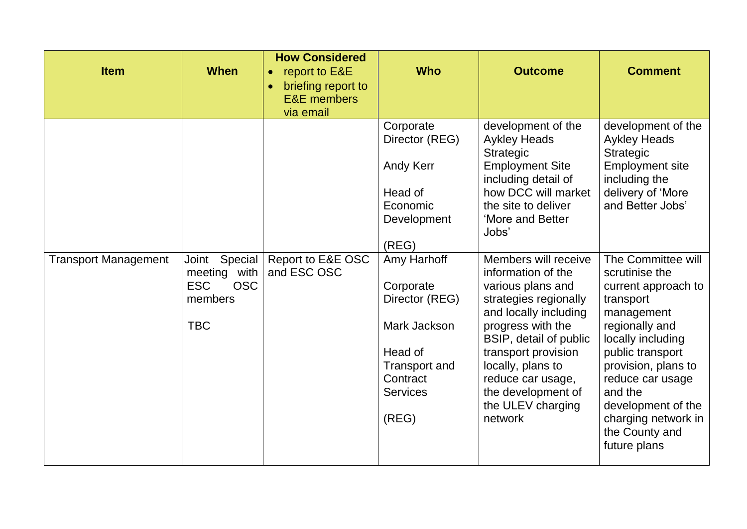| <b>Item</b>                 | <b>When</b>                                                                           | <b>How Considered</b><br>report to E&E<br>$\bullet$<br>briefing report to<br>$\bullet$<br><b>E&amp;E</b> members<br>via email | <b>Who</b>                                                                                                                            | <b>Outcome</b>                                                                                                                                                                                                                                                                          | <b>Comment</b>                                                                                                                                                                                                                                                                         |
|-----------------------------|---------------------------------------------------------------------------------------|-------------------------------------------------------------------------------------------------------------------------------|---------------------------------------------------------------------------------------------------------------------------------------|-----------------------------------------------------------------------------------------------------------------------------------------------------------------------------------------------------------------------------------------------------------------------------------------|----------------------------------------------------------------------------------------------------------------------------------------------------------------------------------------------------------------------------------------------------------------------------------------|
|                             |                                                                                       |                                                                                                                               | Corporate<br>Director (REG)<br><b>Andy Kerr</b><br>Head of<br>Economic<br>Development<br>(REG)                                        | development of the<br><b>Aykley Heads</b><br><b>Strategic</b><br><b>Employment Site</b><br>including detail of<br>how DCC will market<br>the site to deliver<br>'More and Better<br>Jobs'                                                                                               | development of the<br><b>Aykley Heads</b><br>Strategic<br><b>Employment site</b><br>including the<br>delivery of 'More<br>and Better Jobs'                                                                                                                                             |
| <b>Transport Management</b> | Special<br>Joint<br>meeting with<br><b>ESC</b><br><b>OSC</b><br>members<br><b>TBC</b> | Report to E&E OSC<br>and ESC OSC                                                                                              | Amy Harhoff<br>Corporate<br>Director (REG)<br>Mark Jackson<br>Head of<br><b>Transport and</b><br>Contract<br><b>Services</b><br>(REG) | Members will receive<br>information of the<br>various plans and<br>strategies regionally<br>and locally including<br>progress with the<br>BSIP, detail of public<br>transport provision<br>locally, plans to<br>reduce car usage,<br>the development of<br>the ULEV charging<br>network | The Committee will<br>scrutinise the<br>current approach to<br>transport<br>management<br>regionally and<br>locally including<br>public transport<br>provision, plans to<br>reduce car usage<br>and the<br>development of the<br>charging network in<br>the County and<br>future plans |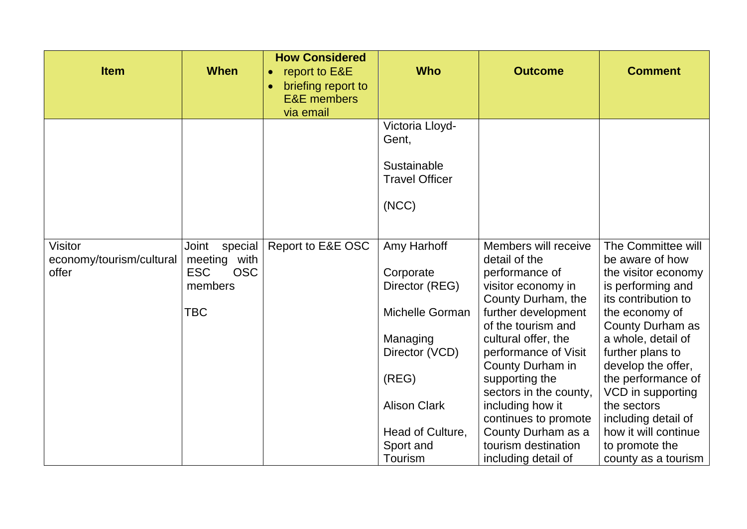| <b>Item</b>                       | <b>When</b>                              | <b>How Considered</b><br>report to E&E<br>$\bullet$<br>briefing report to<br>$\bullet$<br><b>E&amp;E</b> members<br>via email | <b>Who</b>                           | <b>Outcome</b>                           | <b>Comment</b>                           |
|-----------------------------------|------------------------------------------|-------------------------------------------------------------------------------------------------------------------------------|--------------------------------------|------------------------------------------|------------------------------------------|
|                                   |                                          |                                                                                                                               | Victoria Lloyd-<br>Gent,             |                                          |                                          |
|                                   |                                          |                                                                                                                               |                                      |                                          |                                          |
|                                   |                                          |                                                                                                                               | Sustainable<br><b>Travel Officer</b> |                                          |                                          |
|                                   |                                          |                                                                                                                               |                                      |                                          |                                          |
|                                   |                                          |                                                                                                                               | (NCC)                                |                                          |                                          |
|                                   |                                          |                                                                                                                               |                                      |                                          |                                          |
| <b>Visitor</b>                    | special<br>Joint                         | Report to E&E OSC                                                                                                             | Amy Harhoff                          | Members will receive                     | The Committee will                       |
| economy/tourism/cultural<br>offer | meeting with<br><b>ESC</b><br><b>OSC</b> |                                                                                                                               | Corporate                            | detail of the<br>performance of          | be aware of how<br>the visitor economy   |
|                                   | members                                  |                                                                                                                               | Director (REG)                       | visitor economy in<br>County Durham, the | is performing and<br>its contribution to |
|                                   | TBC                                      |                                                                                                                               | Michelle Gorman                      | further development                      | the economy of                           |
|                                   |                                          |                                                                                                                               |                                      | of the tourism and                       | County Durham as                         |
|                                   |                                          |                                                                                                                               | Managing                             | cultural offer, the                      | a whole, detail of                       |
|                                   |                                          |                                                                                                                               | Director (VCD)                       | performance of Visit                     | further plans to                         |
|                                   |                                          |                                                                                                                               | (REG)                                | County Durham in<br>supporting the       | develop the offer,<br>the performance of |
|                                   |                                          |                                                                                                                               |                                      | sectors in the county,                   | VCD in supporting                        |
|                                   |                                          |                                                                                                                               | <b>Alison Clark</b>                  | including how it                         | the sectors                              |
|                                   |                                          |                                                                                                                               |                                      | continues to promote                     | including detail of                      |
|                                   |                                          |                                                                                                                               | Head of Culture,                     | County Durham as a                       | how it will continue                     |
|                                   |                                          |                                                                                                                               | Sport and                            | tourism destination                      | to promote the                           |
|                                   |                                          |                                                                                                                               | Tourism                              | including detail of                      | county as a tourism                      |